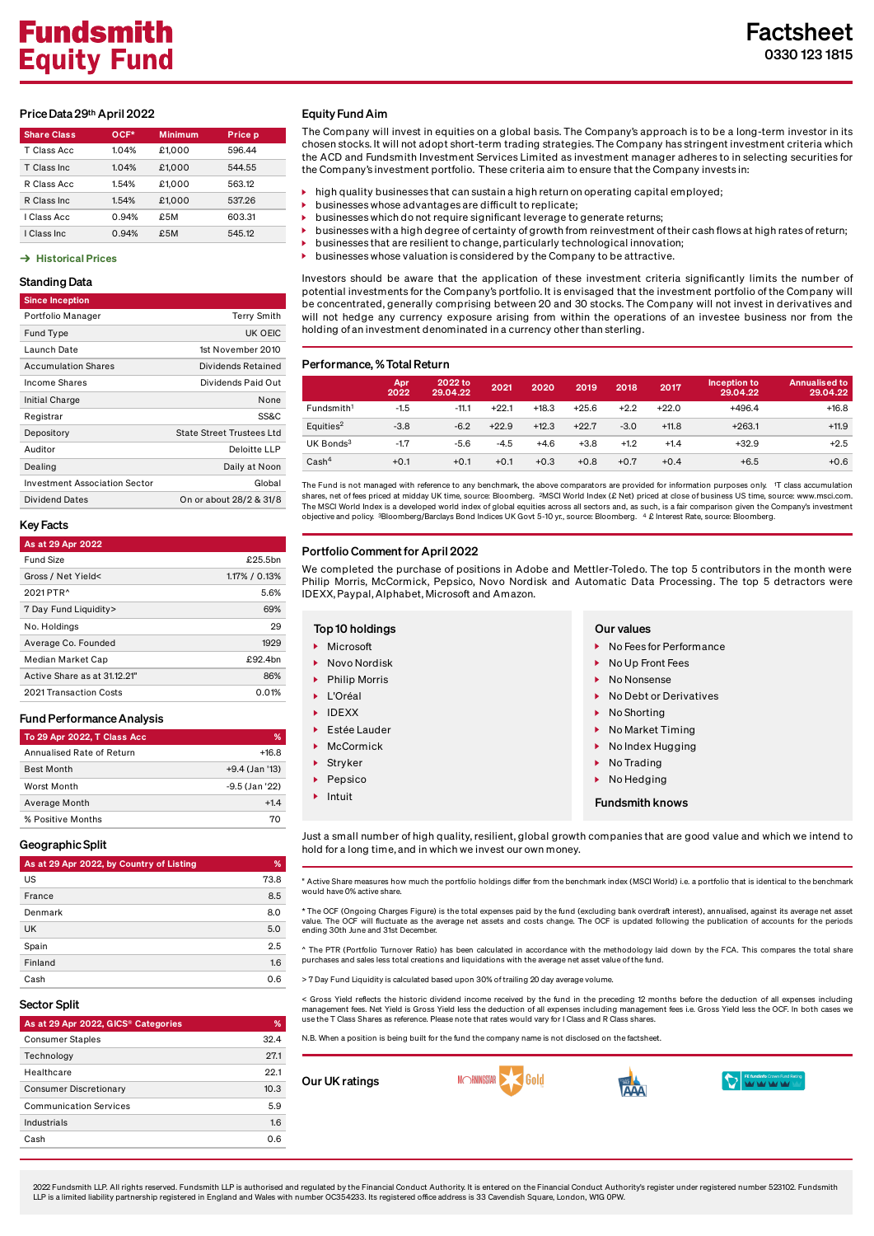#### Price Data 29<sup>th</sup> April 2022

| <b>Share Class</b> | OCF*  | <b>Minimum</b> | <b>Price p</b> |  |  |
|--------------------|-------|----------------|----------------|--|--|
| T Class Acc        | 1.04% | £1.000         | 596.44         |  |  |
| T Class Inc.       | 1.04% | £1.000         | 544.55         |  |  |
| R Class Acc        | 1.54% | £1.000         | 563.12         |  |  |
| R Class Inc.       | 1.54% | £1.000         | 537.26         |  |  |
| I Class Acc        | 0.94% | £5M            | 603.31         |  |  |
| I Class Inc.       | 0.94% | £5M            | 545.12         |  |  |

## $\rightarrow$  [Historical](https://www.fundsmith.co.uk/factsheet/historical-prices/) Prices

# Standing Data

| <b>Since Inception</b>               |                                  |
|--------------------------------------|----------------------------------|
| Portfolio Manager                    | <b>Terry Smith</b>               |
| Fund Type                            | UK OEIC                          |
| Launch Date                          | 1st November 2010                |
| <b>Accumulation Shares</b>           | Dividends Retained               |
| Income Shares                        | Dividends Paid Out               |
| Initial Charge                       | None                             |
| Registrar                            | SS&C                             |
| Depository                           | <b>State Street Trustees Ltd</b> |
| Auditor                              | Deloitte LLP                     |
| Dealing                              | Daily at Noon                    |
| <b>Investment Association Sector</b> | Global                           |
| <b>Dividend Dates</b>                | On or about 28/2 & 31/8          |

#### Key Facts

| As at 29 Apr 2022            |               |
|------------------------------|---------------|
| <b>Fund Size</b>             | £25.5bn       |
| Gross / Net Yield<           | 1.17% / 0.13% |
| 2021 PTR <sup>^</sup>        | 5.6%          |
| 7 Day Fund Liquidity>        | 69%           |
| No. Holdings                 | 29            |
| Average Co. Founded          | 1929          |
| Median Market Cap            | £92.4bn       |
| Active Share as at 31.12.21" | 86%           |
| 2021 Transaction Costs       | 0.01%         |
|                              |               |

# FundPerformanceAnalysis

| To 29 Apr 2022, T Class Acc | %              |
|-----------------------------|----------------|
| Annualised Rate of Return   | $+16.8$        |
| <b>Best Month</b>           | +9.4 (Jan '13) |
| Worst Month                 | -9.5 (Jan '22) |
| Average Month               | $+14$          |
| % Positive Months           | 70             |

### Geographic Split

| As at 29 Apr 2022, by Country of Listing | %    |
|------------------------------------------|------|
| US                                       | 73.8 |
| France                                   | 8.5  |
| Denmark                                  | 8.0  |
| <b>UK</b>                                | 5.0  |
| Spain                                    | 2.5  |
| Finland                                  | 1.6  |
| Cash                                     | 0.6  |

#### Sector Split

| As at 29 Apr 2022, GICS® Categories | %    |
|-------------------------------------|------|
| <b>Consumer Staples</b>             | 324  |
| Technology                          | 27.1 |
| Healthcare                          | 221  |
| <b>Consumer Discretionary</b>       | 10.3 |
| <b>Communication Services</b>       | 5.9  |
| Industrials                         | 1.6  |
| Cash                                | റ 6  |

### Equity Fund Aim

The Company will invest in equities on a global basis. The Company's approach is to be a long-term investor in its chosen stocks. It will not adopt short-term trading strategies. The Company has stringent investment criteria which the ACD and Fundsmith Investment Services Limited as investment manager adheres to in selecting securities for the Company's investment portfolio. These criteria aim to ensure that the Company invests in:

- high quality businesses that can sustain a high return on operating capital employed;
- businesses whose advantages are difficult to replicate;
- businesses which do not require significant leverage to generate returns;
- businesses with a high degree of certainty of growth from reinvestment oftheir cash flows at high rates ofreturn;
- businesses that are resilient to change, particularly technological innovation;
- businesses whose valuation is considered by the Company to be attractive.

Investors should be aware that the application of these investment criteria significantly limits the number of potential investments for the Company's portfolio. It is envisaged that the investment portfolio of the Company will be concentrated, generally comprising between 20 and 30 stocks. The Company will not invest in derivatives and will not hedge any currency exposure arising from within the operations of an investee business nor from the holding of an investment denominated in a currency other than sterling.

#### Performance, %Total Return

|                        | <b>Apr.</b><br>2022 | 2022 to<br>29.04.22 | 2021    | 2020    | 2019    | 2018   | 2017    | Inception to<br>29.04.22 | <b>Annualised to</b><br>29.04.22 |
|------------------------|---------------------|---------------------|---------|---------|---------|--------|---------|--------------------------|----------------------------------|
| Fundsmith <sup>1</sup> | $-1.5$              | $-11.1$             | $+22.1$ | $+18.3$ | $+25.6$ | $+2.2$ | $+22.0$ | $+496.4$                 | $+16.8$                          |
| Equities <sup>2</sup>  | $-3.8$              | $-6.2$              | $+22.9$ | $+12.3$ | $+22.7$ | $-3.0$ | $+11.8$ | $+263.1$                 | $+11.9$                          |
| UK Bonds <sup>3</sup>  | $-1.7$              | $-5.6$              | $-4.5$  | $+4.6$  | $+3.8$  | $+1.2$ | $+1.4$  | $+32.9$                  | $+2.5$                           |
| Cash <sup>4</sup>      | $+0.1$              | $+0.1$              | $+0.1$  | $+0.3$  | $+0.8$  | $+0.7$ | $+0.4$  | $+6.5$                   | $+0.6$                           |

The Fund is not managed with reference to any benchmark, the above comparators are provided for information purposes only. T class accumulation 1 shares, net of fees priced at midday UK time, source: Bloomberg. <sup>2</sup>MSCI World Index (£ Net) priced at close of business US time, source: www.msci.com. The MSCI World Index is a developed world index of global equities across all sectors and, as such, is a fair comparison given the Company's investment<br>objective and policy. 3Bloomberg/Barclays Bond Indices UK Govt 5-10 yr

#### Portfolio Comment for April 2022

s.

We completed the purchase of positions in Adobe and Mettler-Toledo. The top 5 contributors in the month were Philip Morris, McCormick, Pepsico, Novo Nordisk and Automatic Data Processing. The top 5 detractors were IDEXX, Paypal,Alphabet, Microsoft and Amazon.

#### Top 10 holdings **Our values** Our values Fundsmith knows ▶ Microsoft Novo Nordisk Philip Morris L'Oréal DEXX ▶ Estée Lauder McCormick Stryker Pepsico Intuit ▶ No Fees for Performance ▶ No Up Front Fees ▶ No Nonsense  $\triangleright$  No Debt or Derivatives ▶ No Shorting ▶ No Market Timing No Index Hugging No Trading ▶ No Hedging

Just a small number of high quality, resilient, global growth companies that are good value and which we intend to hold for a long time, and in which we invest our own money.

" Active Share measures how much the portfolio holdings differ from the benchmark index (MSCI World) i.e. a portfolio that is identical to the benchmark would have 0% active share.

\* The OCF (Ongoing Charges Figure) is the total expenses paid by the fund (excluding bank overdraft interest), annualised, against its average net asset value. The OCF will fluctuate as the average net assets and costs change. The OCF is updated following the publication of accounts for the periods ending 30th June and 31st December.

^ The PTR (Portfolio Turnover Ratio) has been calculated in accordance with the methodology laid down by the FCA. This compares the total share<br>purchases and sales less total creations and liquidations with the average net

Fund Liquidity is calculated based upon 30% of trailing 20 day average volum

< Gross Yield reflects the historic dividend income received by the fund in the preceding 12 months before the deduction of all expenses including<br>management fees. Net Yield is Gross Yield less the deduction of all expense

N.B. When a position is being built for the fund the company name is not disclosed on the factsheet.

Our UK ratings







2022 Fundsmith LLP. All rights reserved. Fundsmith LLP is authorised and regulated by the Financial Conduct Authority. It is entered on the Financial Conduct Authority's register under registered number 523102. Fundsmith LLP is a limited liability partnership registered in England and Wales with number OC354233. Its registered office address is 33 Cavendish Square, London, W1G 0PW.